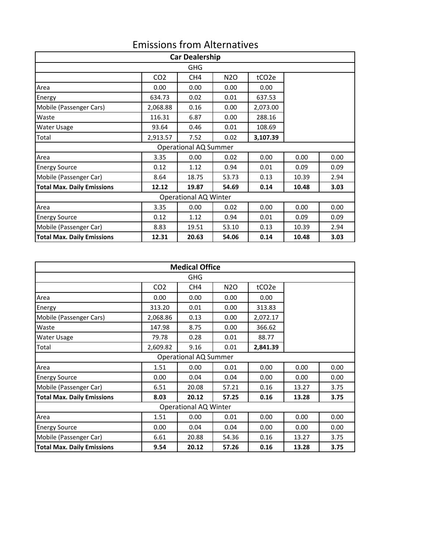## Emissions from Alternatives

| <b>Car Dealership</b>             |                 |                 |                  |                   |       |      |  |
|-----------------------------------|-----------------|-----------------|------------------|-------------------|-------|------|--|
| <b>GHG</b>                        |                 |                 |                  |                   |       |      |  |
|                                   | CO <sub>2</sub> | CH <sub>4</sub> | N <sub>2</sub> O | tCO <sub>2e</sub> |       |      |  |
| Area                              | 0.00            | 0.00            | 0.00             | 0.00              |       |      |  |
| Energy                            | 634.73          | 0.02            | 0.01             | 637.53            |       |      |  |
| Mobile (Passenger Cars)           | 2,068.88        | 0.16            | 0.00             | 2,073.00          |       |      |  |
| Waste                             | 116.31          | 6.87            | 0.00             | 288.16            |       |      |  |
| <b>Water Usage</b>                | 93.64           | 0.46            | 0.01             | 108.69            |       |      |  |
| Total                             | 2,913.57        | 7.52            | 0.02             | 3,107.39          |       |      |  |
| <b>Operational AQ Summer</b>      |                 |                 |                  |                   |       |      |  |
| Area                              | 3.35            | 0.00            | 0.02             | 0.00              | 0.00  | 0.00 |  |
| <b>Energy Source</b>              | 0.12            | 1.12            | 0.94             | 0.01              | 0.09  | 0.09 |  |
| Mobile (Passenger Car)            | 8.64            | 18.75           | 53.73            | 0.13              | 10.39 | 2.94 |  |
| <b>Total Max. Daily Emissions</b> | 12.12           | 19.87           | 54.69            | 0.14              | 10.48 | 3.03 |  |
| <b>Operational AQ Winter</b>      |                 |                 |                  |                   |       |      |  |
| Area                              | 3.35            | 0.00            | 0.02             | 0.00              | 0.00  | 0.00 |  |
| <b>Energy Source</b>              | 0.12            | 1.12            | 0.94             | 0.01              | 0.09  | 0.09 |  |
| Mobile (Passenger Car)            | 8.83            | 19.51           | 53.10            | 0.13              | 10.39 | 2.94 |  |
| <b>Total Max. Daily Emissions</b> | 12.31           | 20.63           | 54.06            | 0.14              | 10.48 | 3.03 |  |

| <b>Medical Office</b>             |                 |                 |                  |                   |       |      |  |
|-----------------------------------|-----------------|-----------------|------------------|-------------------|-------|------|--|
| GHG                               |                 |                 |                  |                   |       |      |  |
|                                   | CO <sub>2</sub> | CH <sub>4</sub> | N <sub>2</sub> O | tCO <sub>2e</sub> |       |      |  |
| Area                              | 0.00            | 0.00            | 0.00             | 0.00              |       |      |  |
| Energy                            | 313.20          | 0.01            | 0.00             | 313.83            |       |      |  |
| Mobile (Passenger Cars)           | 2,068.86        | 0.13            | 0.00             | 2,072.17          |       |      |  |
| Waste                             | 147.98          | 8.75            | 0.00             | 366.62            |       |      |  |
| Water Usage                       | 79.78           | 0.28            | 0.01             | 88.77             |       |      |  |
| Total                             | 2,609.82        | 9.16            | 0.01             | 2,841.39          |       |      |  |
| <b>Operational AQ Summer</b>      |                 |                 |                  |                   |       |      |  |
| Area                              | 1.51            | 0.00            | 0.01             | 0.00              | 0.00  | 0.00 |  |
| <b>Energy Source</b>              | 0.00            | 0.04            | 0.04             | 0.00              | 0.00  | 0.00 |  |
| Mobile (Passenger Car)            | 6.51            | 20.08           | 57.21            | 0.16              | 13.27 | 3.75 |  |
| <b>Total Max. Daily Emissions</b> | 8.03            | 20.12           | 57.25            | 0.16              | 13.28 | 3.75 |  |
| <b>Operational AQ Winter</b>      |                 |                 |                  |                   |       |      |  |
| Area                              | 1.51            | 0.00            | 0.01             | 0.00              | 0.00  | 0.00 |  |
| <b>Energy Source</b>              | 0.00            | 0.04            | 0.04             | 0.00              | 0.00  | 0.00 |  |
| Mobile (Passenger Car)            | 6.61            | 20.88           | 54.36            | 0.16              | 13.27 | 3.75 |  |
| <b>Total Max. Daily Emissions</b> | 9.54            | 20.12           | 57.26            | 0.16              | 13.28 | 3.75 |  |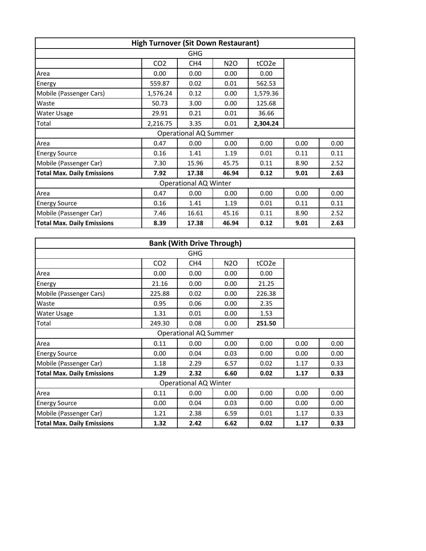| <b>High Turnover (Sit Down Restaurant)</b> |                 |                 |                  |                   |      |      |  |
|--------------------------------------------|-----------------|-----------------|------------------|-------------------|------|------|--|
| <b>GHG</b>                                 |                 |                 |                  |                   |      |      |  |
|                                            | CO <sub>2</sub> | CH <sub>4</sub> | N <sub>2</sub> O | tCO <sub>2e</sub> |      |      |  |
| Area                                       | 0.00            | 0.00            | 0.00             | 0.00              |      |      |  |
| Energy                                     | 559.87          | 0.02            | 0.01             | 562.53            |      |      |  |
| Mobile (Passenger Cars)                    | 1,576.24        | 0.12            | 0.00             | 1,579.36          |      |      |  |
| Waste                                      | 50.73           | 3.00            | 0.00             | 125.68            |      |      |  |
| Water Usage                                | 29.91           | 0.21            | 0.01             | 36.66             |      |      |  |
| Total                                      | 2,216.75        | 3.35            | 0.01             | 2,304.24          |      |      |  |
| <b>Operational AQ Summer</b>               |                 |                 |                  |                   |      |      |  |
| Area                                       | 0.47            | 0.00            | 0.00             | 0.00              | 0.00 | 0.00 |  |
| <b>Energy Source</b>                       | 0.16            | 1.41            | 1.19             | 0.01              | 0.11 | 0.11 |  |
| Mobile (Passenger Car)                     | 7.30            | 15.96           | 45.75            | 0.11              | 8.90 | 2.52 |  |
| <b>Total Max. Daily Emissions</b>          | 7.92            | 17.38           | 46.94            | 0.12              | 9.01 | 2.63 |  |
| <b>Operational AQ Winter</b>               |                 |                 |                  |                   |      |      |  |
| Area                                       | 0.47            | 0.00            | 0.00             | 0.00              | 0.00 | 0.00 |  |
| <b>Energy Source</b>                       | 0.16            | 1.41            | 1.19             | 0.01              | 0.11 | 0.11 |  |
| Mobile (Passenger Car)                     | 7.46            | 16.61           | 45.16            | 0.11              | 8.90 | 2.52 |  |
| <b>Total Max. Daily Emissions</b>          | 8.39            | 17.38           | 46.94            | 0.12              | 9.01 | 2.63 |  |

| <b>Bank (With Drive Through)</b>  |                 |                 |                  |                   |      |      |  |
|-----------------------------------|-----------------|-----------------|------------------|-------------------|------|------|--|
| <b>GHG</b>                        |                 |                 |                  |                   |      |      |  |
|                                   | CO <sub>2</sub> | CH <sub>4</sub> | N <sub>2</sub> O | tCO <sub>2e</sub> |      |      |  |
| Area                              | 0.00            | 0.00            | 0.00             | 0.00              |      |      |  |
| Energy                            | 21.16           | 0.00            | 0.00             | 21.25             |      |      |  |
| Mobile (Passenger Cars)           | 225.88          | 0.02            | 0.00             | 226.38            |      |      |  |
| Waste                             | 0.95            | 0.06            | 0.00             | 2.35              |      |      |  |
| Water Usage                       | 1.31            | 0.01            | 0.00             | 1.53              |      |      |  |
| Total                             | 249.30          | 0.08            | 0.00             | 251.50            |      |      |  |
| <b>Operational AQ Summer</b>      |                 |                 |                  |                   |      |      |  |
| Area                              | 0.11            | 0.00            | 0.00             | 0.00              | 0.00 | 0.00 |  |
| <b>Energy Source</b>              | 0.00            | 0.04            | 0.03             | 0.00              | 0.00 | 0.00 |  |
| Mobile (Passenger Car)            | 1.18            | 2.29            | 6.57             | 0.02              | 1.17 | 0.33 |  |
| <b>Total Max. Daily Emissions</b> | 1.29            | 2.32            | 6.60             | 0.02              | 1.17 | 0.33 |  |
| <b>Operational AQ Winter</b>      |                 |                 |                  |                   |      |      |  |
| Area                              | 0.11            | 0.00            | 0.00             | 0.00              | 0.00 | 0.00 |  |
| <b>Energy Source</b>              | 0.00            | 0.04            | 0.03             | 0.00              | 0.00 | 0.00 |  |
| Mobile (Passenger Car)            | 1.21            | 2.38            | 6.59             | 0.01              | 1.17 | 0.33 |  |
| <b>Total Max. Daily Emissions</b> | 1.32            | 2.42            | 6.62             | 0.02              | 1.17 | 0.33 |  |